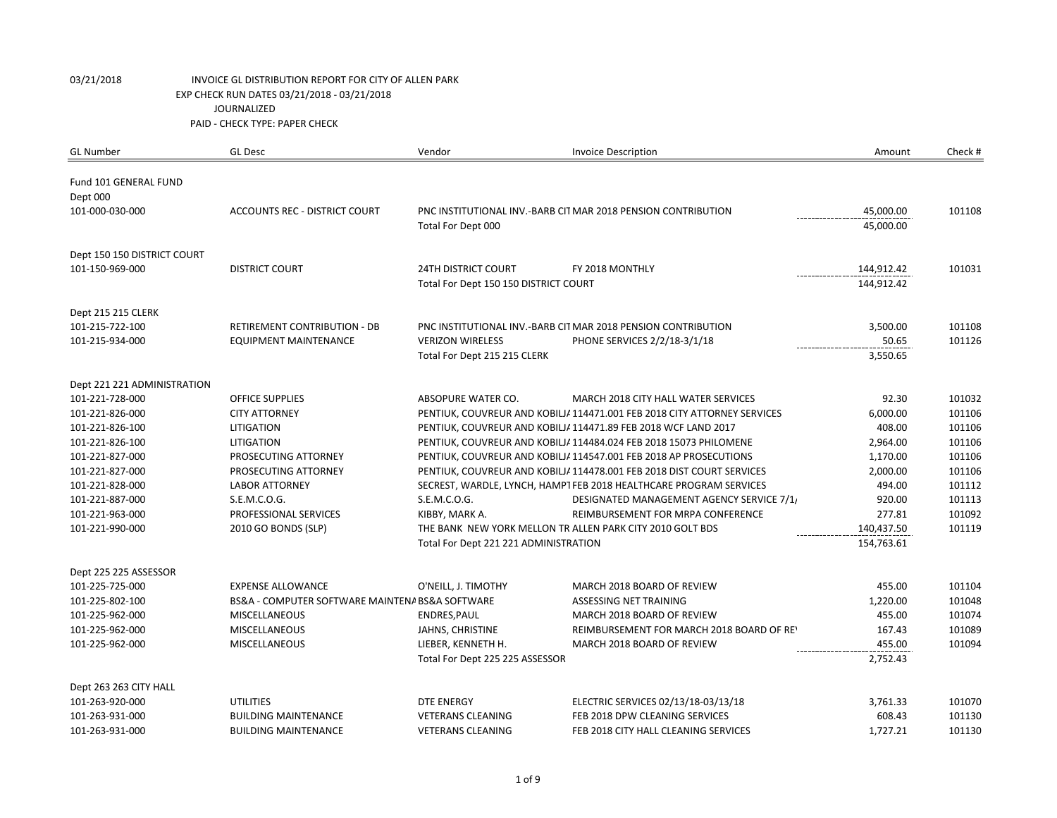| <b>GL Number</b>                  | <b>GL Desc</b>                                  | Vendor                                | <b>Invoice Description</b>                                               | Amount     | Check # |
|-----------------------------------|-------------------------------------------------|---------------------------------------|--------------------------------------------------------------------------|------------|---------|
| Fund 101 GENERAL FUND<br>Dept 000 |                                                 |                                       |                                                                          |            |         |
| 101-000-030-000                   | ACCOUNTS REC - DISTRICT COURT                   |                                       | PNC INSTITUTIONAL INV.-BARB CITMAR 2018 PENSION CONTRIBUTION             | 45,000.00  | 101108  |
|                                   |                                                 | Total For Dept 000                    |                                                                          | 45,000.00  |         |
| Dept 150 150 DISTRICT COURT       |                                                 |                                       |                                                                          |            |         |
| 101-150-969-000                   | <b>DISTRICT COURT</b>                           | <b>24TH DISTRICT COURT</b>            | FY 2018 MONTHLY                                                          | 144,912.42 | 101031  |
|                                   |                                                 | Total For Dept 150 150 DISTRICT COURT |                                                                          | 144,912.42 |         |
| Dept 215 215 CLERK                |                                                 |                                       |                                                                          |            |         |
| 101-215-722-100                   | <b>RETIREMENT CONTRIBUTION - DB</b>             |                                       | PNC INSTITUTIONAL INV.-BARB CIT MAR 2018 PENSION CONTRIBUTION            | 3,500.00   | 101108  |
| 101-215-934-000                   | <b>EQUIPMENT MAINTENANCE</b>                    | <b>VERIZON WIRELESS</b>               | PHONE SERVICES 2/2/18-3/1/18                                             | 50.65      | 101126  |
|                                   |                                                 | Total For Dept 215 215 CLERK          |                                                                          | 3,550.65   |         |
| Dept 221 221 ADMINISTRATION       |                                                 |                                       |                                                                          |            |         |
| 101-221-728-000                   | <b>OFFICE SUPPLIES</b>                          | ABSOPURE WATER CO.                    | MARCH 2018 CITY HALL WATER SERVICES                                      | 92.30      | 101032  |
| 101-221-826-000                   | <b>CITY ATTORNEY</b>                            |                                       | PENTIUK, COUVREUR AND KOBILJ/ 114471.001 FEB 2018 CITY ATTORNEY SERVICES | 6,000.00   | 101106  |
| 101-221-826-100                   | <b>LITIGATION</b>                               |                                       | PENTIUK, COUVREUR AND KOBILJ/ 114471.89 FEB 2018 WCF LAND 2017           | 408.00     | 101106  |
| 101-221-826-100                   | LITIGATION                                      |                                       | PENTIUK, COUVREUR AND KOBILJ/ 114484.024 FEB 2018 15073 PHILOMENE        | 2,964.00   | 101106  |
| 101-221-827-000                   | PROSECUTING ATTORNEY                            |                                       | PENTIUK, COUVREUR AND KOBILJ/ 114547.001 FEB 2018 AP PROSECUTIONS        | 1,170.00   | 101106  |
| 101-221-827-000                   | PROSECUTING ATTORNEY                            |                                       | PENTIUK, COUVREUR AND KOBILJ/ 114478.001 FEB 2018 DIST COURT SERVICES    | 2,000.00   | 101106  |
| 101-221-828-000                   | <b>LABOR ATTORNEY</b>                           |                                       | SECREST, WARDLE, LYNCH, HAMPTFEB 2018 HEALTHCARE PROGRAM SERVICES        | 494.00     | 101112  |
| 101-221-887-000                   | S.E.M.C.O.G.                                    | S.E.M.C.O.G.                          | DESIGNATED MANAGEMENT AGENCY SERVICE 7/1                                 | 920.00     | 101113  |
| 101-221-963-000                   | PROFESSIONAL SERVICES                           | KIBBY, MARK A.                        | REIMBURSEMENT FOR MRPA CONFERENCE                                        | 277.81     | 101092  |
| 101-221-990-000                   | 2010 GO BONDS (SLP)                             |                                       | THE BANK NEW YORK MELLON TR ALLEN PARK CITY 2010 GOLT BDS                | 140,437.50 | 101119  |
|                                   |                                                 | Total For Dept 221 221 ADMINISTRATION |                                                                          | 154,763.61 |         |
| Dept 225 225 ASSESSOR             |                                                 |                                       |                                                                          |            |         |
| 101-225-725-000                   | <b>EXPENSE ALLOWANCE</b>                        | O'NEILL, J. TIMOTHY                   | MARCH 2018 BOARD OF REVIEW                                               | 455.00     | 101104  |
| 101-225-802-100                   | BS&A - COMPUTER SOFTWARE MAINTENA BS&A SOFTWARE |                                       | ASSESSING NET TRAINING                                                   | 1,220.00   | 101048  |
| 101-225-962-000                   | <b>MISCELLANEOUS</b>                            | ENDRES, PAUL                          | MARCH 2018 BOARD OF REVIEW                                               | 455.00     | 101074  |
| 101-225-962-000                   | <b>MISCELLANEOUS</b>                            | JAHNS, CHRISTINE                      | REIMBURSEMENT FOR MARCH 2018 BOARD OF REY                                | 167.43     | 101089  |
| 101-225-962-000                   | <b>MISCELLANEOUS</b>                            | LIEBER, KENNETH H.                    | MARCH 2018 BOARD OF REVIEW                                               | 455.00     | 101094  |
|                                   |                                                 | Total For Dept 225 225 ASSESSOR       |                                                                          | 2,752.43   |         |
| Dept 263 263 CITY HALL            |                                                 |                                       |                                                                          |            |         |
| 101-263-920-000                   | UTILITIES                                       | <b>DTE ENERGY</b>                     | ELECTRIC SERVICES 02/13/18-03/13/18                                      | 3,761.33   | 101070  |
| 101-263-931-000                   | <b>BUILDING MAINTENANCE</b>                     | <b>VETERANS CLEANING</b>              | FEB 2018 DPW CLEANING SERVICES                                           | 608.43     | 101130  |
| 101-263-931-000                   | <b>BUILDING MAINTENANCE</b>                     | <b>VETERANS CLEANING</b>              | FEB 2018 CITY HALL CLEANING SERVICES                                     | 1,727.21   | 101130  |
|                                   |                                                 |                                       |                                                                          |            |         |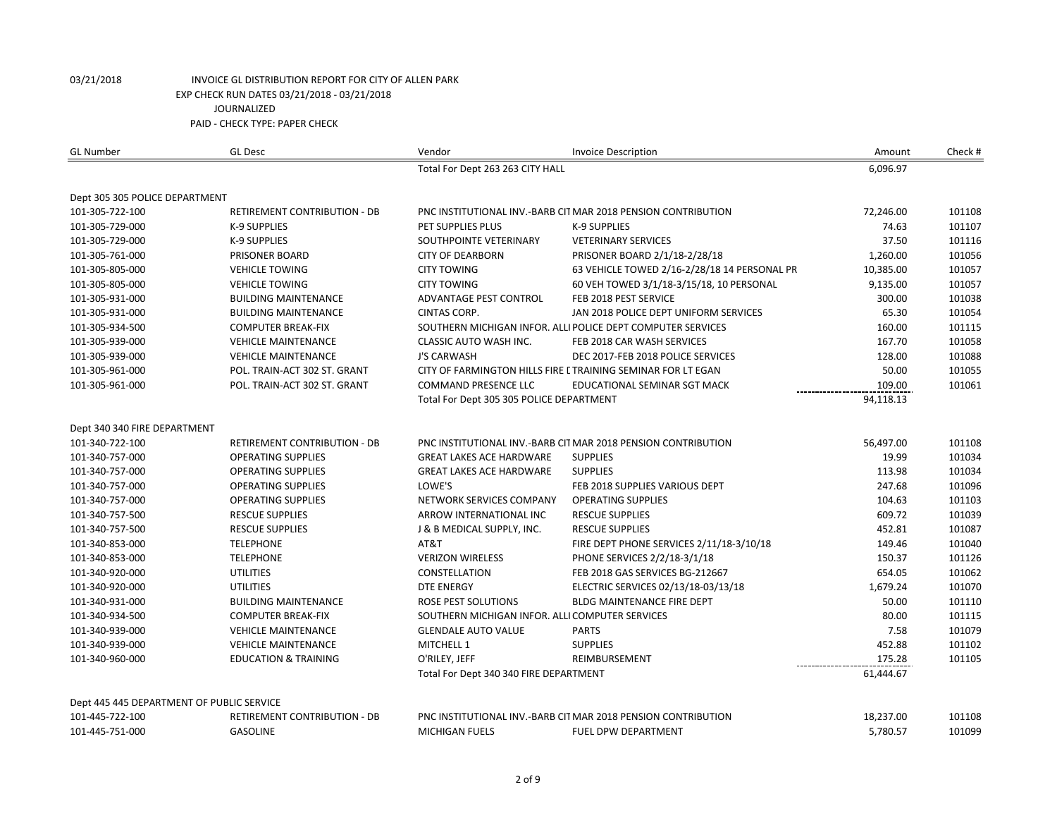| <b>GL Number</b>                          | <b>GL Desc</b>                      | Vendor                                          | <b>Invoice Description</b>                                    | Amount    | Check # |
|-------------------------------------------|-------------------------------------|-------------------------------------------------|---------------------------------------------------------------|-----------|---------|
|                                           |                                     | Total For Dept 263 263 CITY HALL                |                                                               | 6,096.97  |         |
|                                           |                                     |                                                 |                                                               |           |         |
| Dept 305 305 POLICE DEPARTMENT            |                                     |                                                 |                                                               |           |         |
| 101-305-722-100                           | <b>RETIREMENT CONTRIBUTION - DB</b> |                                                 | PNC INSTITUTIONAL INV.-BARB CIT MAR 2018 PENSION CONTRIBUTION | 72,246.00 | 101108  |
| 101-305-729-000                           | <b>K-9 SUPPLIES</b>                 | PET SUPPLIES PLUS                               | <b>K-9 SUPPLIES</b>                                           | 74.63     | 101107  |
| 101-305-729-000                           | <b>K-9 SUPPLIES</b>                 | SOUTHPOINTE VETERINARY                          | <b>VETERINARY SERVICES</b>                                    | 37.50     | 101116  |
| 101-305-761-000                           | <b>PRISONER BOARD</b>               | <b>CITY OF DEARBORN</b>                         | PRISONER BOARD 2/1/18-2/28/18                                 | 1,260.00  | 101056  |
| 101-305-805-000                           | <b>VEHICLE TOWING</b>               | <b>CITY TOWING</b>                              | 63 VEHICLE TOWED 2/16-2/28/18 14 PERSONAL PR                  | 10,385.00 | 101057  |
| 101-305-805-000                           | <b>VEHICLE TOWING</b>               | <b>CITY TOWING</b>                              | 60 VEH TOWED 3/1/18-3/15/18, 10 PERSONAL                      | 9,135.00  | 101057  |
| 101-305-931-000                           | <b>BUILDING MAINTENANCE</b>         | <b>ADVANTAGE PEST CONTROL</b>                   | FEB 2018 PEST SERVICE                                         | 300.00    | 101038  |
| 101-305-931-000                           | <b>BUILDING MAINTENANCE</b>         | <b>CINTAS CORP.</b>                             | JAN 2018 POLICE DEPT UNIFORM SERVICES                         | 65.30     | 101054  |
| 101-305-934-500                           | <b>COMPUTER BREAK-FIX</b>           |                                                 | SOUTHERN MICHIGAN INFOR. ALLI POLICE DEPT COMPUTER SERVICES   | 160.00    | 101115  |
| 101-305-939-000                           | <b>VEHICLE MAINTENANCE</b>          | CLASSIC AUTO WASH INC.                          | FEB 2018 CAR WASH SERVICES                                    | 167.70    | 101058  |
| 101-305-939-000                           | <b>VEHICLE MAINTENANCE</b>          | <b>J'S CARWASH</b>                              | DEC 2017-FEB 2018 POLICE SERVICES                             | 128.00    | 101088  |
| 101-305-961-000                           | POL. TRAIN-ACT 302 ST. GRANT        |                                                 | CITY OF FARMINGTON HILLS FIRE L TRAINING SEMINAR FOR LT EGAN  | 50.00     | 101055  |
| 101-305-961-000                           | POL. TRAIN-ACT 302 ST. GRANT        | <b>COMMAND PRESENCE LLC</b>                     | EDUCATIONAL SEMINAR SGT MACK                                  | 109.00    | 101061  |
|                                           |                                     | Total For Dept 305 305 POLICE DEPARTMENT        |                                                               | 94,118.13 |         |
| Dept 340 340 FIRE DEPARTMENT              |                                     |                                                 |                                                               |           |         |
| 101-340-722-100                           | <b>RETIREMENT CONTRIBUTION - DB</b> |                                                 | PNC INSTITUTIONAL INV.-BARB CITMAR 2018 PENSION CONTRIBUTION  | 56,497.00 | 101108  |
| 101-340-757-000                           | <b>OPERATING SUPPLIES</b>           | <b>GREAT LAKES ACE HARDWARE</b>                 | <b>SUPPLIES</b>                                               | 19.99     | 101034  |
| 101-340-757-000                           | <b>OPERATING SUPPLIES</b>           | <b>GREAT LAKES ACE HARDWARE</b>                 | <b>SUPPLIES</b>                                               | 113.98    | 101034  |
| 101-340-757-000                           | <b>OPERATING SUPPLIES</b>           | LOWE'S                                          | FEB 2018 SUPPLIES VARIOUS DEPT                                | 247.68    | 101096  |
| 101-340-757-000                           | <b>OPERATING SUPPLIES</b>           | NETWORK SERVICES COMPANY                        | <b>OPERATING SUPPLIES</b>                                     | 104.63    | 101103  |
| 101-340-757-500                           | <b>RESCUE SUPPLIES</b>              | ARROW INTERNATIONAL INC                         | <b>RESCUE SUPPLIES</b>                                        | 609.72    | 101039  |
| 101-340-757-500                           | <b>RESCUE SUPPLIES</b>              | J & B MEDICAL SUPPLY, INC.                      | <b>RESCUE SUPPLIES</b>                                        | 452.81    | 101087  |
| 101-340-853-000                           | <b>TELEPHONE</b>                    | AT&T                                            | FIRE DEPT PHONE SERVICES 2/11/18-3/10/18                      | 149.46    | 101040  |
| 101-340-853-000                           | <b>TELEPHONE</b>                    | <b>VERIZON WIRELESS</b>                         | PHONE SERVICES 2/2/18-3/1/18                                  | 150.37    | 101126  |
| 101-340-920-000                           | <b>UTILITIES</b>                    | CONSTELLATION                                   | FEB 2018 GAS SERVICES BG-212667                               | 654.05    | 101062  |
| 101-340-920-000                           | <b>UTILITIES</b>                    | <b>DTE ENERGY</b>                               | ELECTRIC SERVICES 02/13/18-03/13/18                           | 1,679.24  | 101070  |
| 101-340-931-000                           | <b>BUILDING MAINTENANCE</b>         | ROSE PEST SOLUTIONS                             | <b>BLDG MAINTENANCE FIRE DEPT</b>                             | 50.00     | 101110  |
| 101-340-934-500                           | <b>COMPUTER BREAK-FIX</b>           | SOUTHERN MICHIGAN INFOR. ALLI COMPUTER SERVICES |                                                               | 80.00     | 101115  |
| 101-340-939-000                           | <b>VEHICLE MAINTENANCE</b>          | <b>GLENDALE AUTO VALUE</b>                      | <b>PARTS</b>                                                  | 7.58      | 101079  |
| 101-340-939-000                           | <b>VEHICLE MAINTENANCE</b>          | MITCHELL 1                                      | <b>SUPPLIES</b>                                               | 452.88    | 101102  |
|                                           |                                     |                                                 | REIMBURSEMENT                                                 |           | 101105  |
| 101-340-960-000                           | <b>EDUCATION &amp; TRAINING</b>     | O'RILEY, JEFF                                   |                                                               | 175.28    |         |
|                                           |                                     | Total For Dept 340 340 FIRE DEPARTMENT          |                                                               | 61,444.67 |         |
| Dept 445 445 DEPARTMENT OF PUBLIC SERVICE |                                     |                                                 |                                                               |           |         |
| 101-445-722-100                           | RETIREMENT CONTRIBUTION - DB        |                                                 | PNC INSTITUTIONAL INV.-BARB CIT MAR 2018 PENSION CONTRIBUTION | 18,237.00 | 101108  |
| 101-445-751-000                           | <b>GASOLINE</b>                     | MICHIGAN FUELS                                  | FUEL DPW DEPARTMENT                                           | 5,780.57  | 101099  |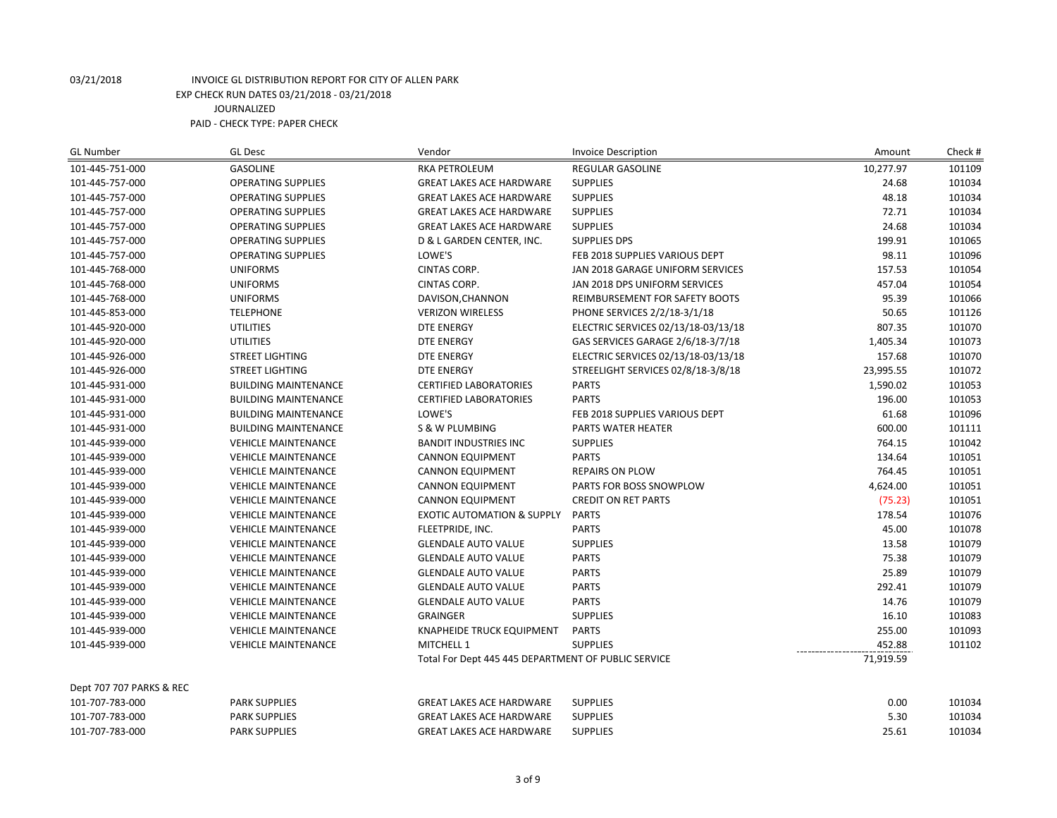| <b>GL Number</b>         | <b>GL Desc</b>              | Vendor                                              | <b>Invoice Description</b>          | Amount    | Check# |
|--------------------------|-----------------------------|-----------------------------------------------------|-------------------------------------|-----------|--------|
| 101-445-751-000          | <b>GASOLINE</b>             | <b>RKA PETROLEUM</b>                                | REGULAR GASOLINE                    | 10,277.97 | 101109 |
| 101-445-757-000          | <b>OPERATING SUPPLIES</b>   | <b>GREAT LAKES ACE HARDWARE</b>                     | <b>SUPPLIES</b>                     | 24.68     | 101034 |
| 101-445-757-000          | <b>OPERATING SUPPLIES</b>   | <b>GREAT LAKES ACE HARDWARE</b>                     | <b>SUPPLIES</b>                     | 48.18     | 101034 |
| 101-445-757-000          | <b>OPERATING SUPPLIES</b>   | <b>GREAT LAKES ACE HARDWARE</b>                     | <b>SUPPLIES</b>                     | 72.71     | 101034 |
| 101-445-757-000          | <b>OPERATING SUPPLIES</b>   | <b>GREAT LAKES ACE HARDWARE</b>                     | <b>SUPPLIES</b>                     | 24.68     | 101034 |
| 101-445-757-000          | <b>OPERATING SUPPLIES</b>   | D & L GARDEN CENTER, INC.                           | <b>SUPPLIES DPS</b>                 | 199.91    | 101065 |
| 101-445-757-000          | <b>OPERATING SUPPLIES</b>   | LOWE'S                                              | FEB 2018 SUPPLIES VARIOUS DEPT      | 98.11     | 101096 |
| 101-445-768-000          | <b>UNIFORMS</b>             | <b>CINTAS CORP.</b>                                 | JAN 2018 GARAGE UNIFORM SERVICES    | 157.53    | 101054 |
| 101-445-768-000          | <b>UNIFORMS</b>             | <b>CINTAS CORP.</b>                                 | JAN 2018 DPS UNIFORM SERVICES       | 457.04    | 101054 |
| 101-445-768-000          | <b>UNIFORMS</b>             | DAVISON, CHANNON                                    | REIMBURSEMENT FOR SAFETY BOOTS      | 95.39     | 101066 |
| 101-445-853-000          | <b>TELEPHONE</b>            | <b>VERIZON WIRELESS</b>                             | PHONE SERVICES 2/2/18-3/1/18        | 50.65     | 101126 |
| 101-445-920-000          | <b>UTILITIES</b>            | <b>DTE ENERGY</b>                                   | ELECTRIC SERVICES 02/13/18-03/13/18 | 807.35    | 101070 |
| 101-445-920-000          | <b>UTILITIES</b>            | <b>DTE ENERGY</b>                                   | GAS SERVICES GARAGE 2/6/18-3/7/18   | 1,405.34  | 101073 |
| 101-445-926-000          | <b>STREET LIGHTING</b>      | <b>DTE ENERGY</b>                                   | ELECTRIC SERVICES 02/13/18-03/13/18 | 157.68    | 101070 |
| 101-445-926-000          | <b>STREET LIGHTING</b>      | <b>DTE ENERGY</b>                                   | STREELIGHT SERVICES 02/8/18-3/8/18  | 23,995.55 | 101072 |
| 101-445-931-000          | <b>BUILDING MAINTENANCE</b> | <b>CERTIFIED LABORATORIES</b>                       | <b>PARTS</b>                        | 1,590.02  | 101053 |
| 101-445-931-000          | <b>BUILDING MAINTENANCE</b> | <b>CERTIFIED LABORATORIES</b>                       | <b>PARTS</b>                        | 196.00    | 101053 |
| 101-445-931-000          | <b>BUILDING MAINTENANCE</b> | LOWE'S                                              | FEB 2018 SUPPLIES VARIOUS DEPT      | 61.68     | 101096 |
| 101-445-931-000          | <b>BUILDING MAINTENANCE</b> | S & W PLUMBING                                      | <b>PARTS WATER HEATER</b>           | 600.00    | 101111 |
| 101-445-939-000          | <b>VEHICLE MAINTENANCE</b>  | <b>BANDIT INDUSTRIES INC</b>                        | <b>SUPPLIES</b>                     | 764.15    | 101042 |
| 101-445-939-000          | <b>VEHICLE MAINTENANCE</b>  | <b>CANNON EQUIPMENT</b>                             | <b>PARTS</b>                        | 134.64    | 101051 |
| 101-445-939-000          | <b>VEHICLE MAINTENANCE</b>  | <b>CANNON EQUIPMENT</b>                             | <b>REPAIRS ON PLOW</b>              | 764.45    | 101051 |
| 101-445-939-000          | <b>VEHICLE MAINTENANCE</b>  | <b>CANNON EQUIPMENT</b>                             | PARTS FOR BOSS SNOWPLOW             | 4,624.00  | 101051 |
| 101-445-939-000          | <b>VEHICLE MAINTENANCE</b>  | <b>CANNON EQUIPMENT</b>                             | <b>CREDIT ON RET PARTS</b>          | (75.23)   | 101051 |
| 101-445-939-000          | <b>VEHICLE MAINTENANCE</b>  | <b>EXOTIC AUTOMATION &amp; SUPPLY</b>               | <b>PARTS</b>                        | 178.54    | 101076 |
| 101-445-939-000          | <b>VEHICLE MAINTENANCE</b>  | FLEETPRIDE, INC.                                    | <b>PARTS</b>                        | 45.00     | 101078 |
| 101-445-939-000          | <b>VEHICLE MAINTENANCE</b>  | <b>GLENDALE AUTO VALUE</b>                          | <b>SUPPLIES</b>                     | 13.58     | 101079 |
| 101-445-939-000          | <b>VEHICLE MAINTENANCE</b>  | <b>GLENDALE AUTO VALUE</b>                          | <b>PARTS</b>                        | 75.38     | 101079 |
| 101-445-939-000          | <b>VEHICLE MAINTENANCE</b>  | <b>GLENDALE AUTO VALUE</b>                          | <b>PARTS</b>                        | 25.89     | 101079 |
| 101-445-939-000          | <b>VEHICLE MAINTENANCE</b>  | <b>GLENDALE AUTO VALUE</b>                          | <b>PARTS</b>                        | 292.41    | 101079 |
| 101-445-939-000          | <b>VEHICLE MAINTENANCE</b>  | <b>GLENDALE AUTO VALUE</b>                          | <b>PARTS</b>                        | 14.76     | 101079 |
| 101-445-939-000          | <b>VEHICLE MAINTENANCE</b>  | <b>GRAINGER</b>                                     | <b>SUPPLIES</b>                     | 16.10     | 101083 |
| 101-445-939-000          | <b>VEHICLE MAINTENANCE</b>  | <b>KNAPHEIDE TRUCK EQUIPMENT</b>                    | <b>PARTS</b>                        | 255.00    | 101093 |
| 101-445-939-000          | <b>VEHICLE MAINTENANCE</b>  | MITCHELL 1                                          | <b>SUPPLIES</b>                     | 452.88    | 101102 |
|                          |                             | Total For Dept 445 445 DEPARTMENT OF PUBLIC SERVICE |                                     | 71,919.59 |        |
| Dept 707 707 PARKS & REC |                             |                                                     |                                     |           |        |
| 101-707-783-000          | <b>PARK SUPPLIES</b>        | <b>GREAT LAKES ACE HARDWARE</b>                     | <b>SUPPLIES</b>                     | 0.00      | 101034 |
| 101-707-783-000          | <b>PARK SUPPLIES</b>        | <b>GREAT LAKES ACE HARDWARE</b>                     | <b>SUPPLIES</b>                     | 5.30      | 101034 |
| 101-707-783-000          | <b>PARK SUPPLIES</b>        | <b>GREAT LAKES ACE HARDWARE</b>                     | <b>SUPPLIES</b>                     | 25.61     | 101034 |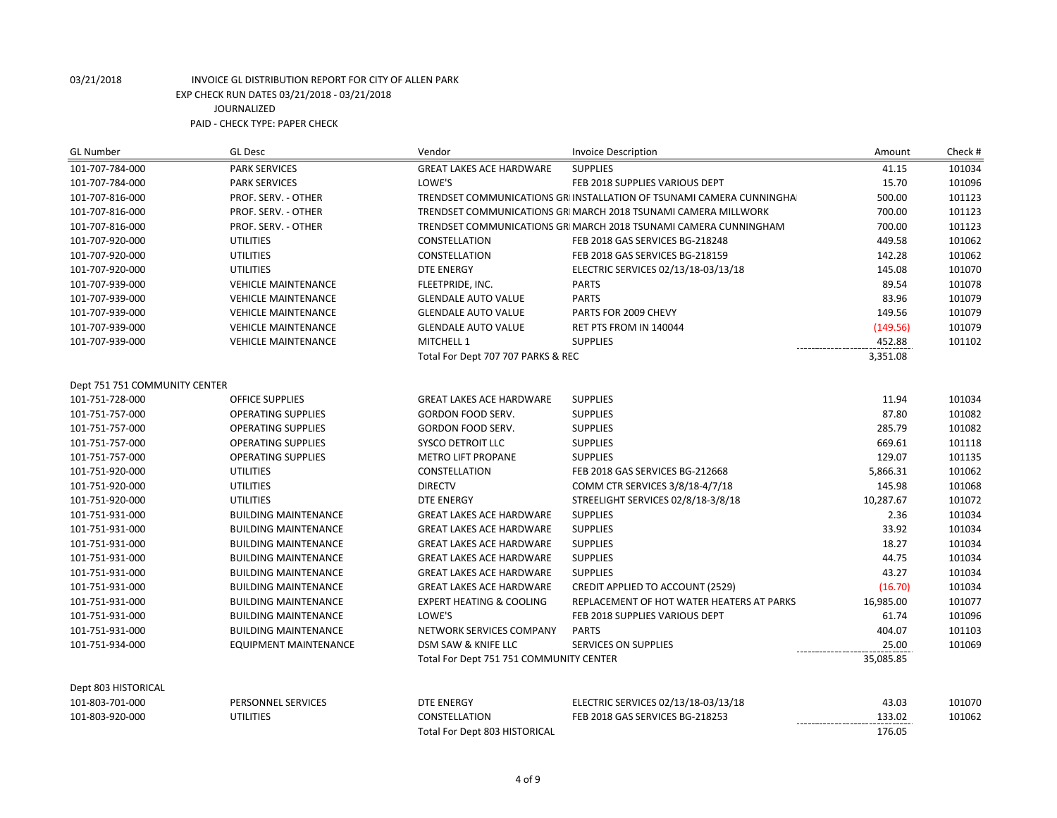| <b>GL Number</b>              | <b>GL Desc</b>               | Vendor                                  | <b>Invoice Description</b>                                           | Amount                      | Check# |
|-------------------------------|------------------------------|-----------------------------------------|----------------------------------------------------------------------|-----------------------------|--------|
| 101-707-784-000               | <b>PARK SERVICES</b>         | <b>GREAT LAKES ACE HARDWARE</b>         | <b>SUPPLIES</b>                                                      | 41.15                       | 101034 |
| 101-707-784-000               | <b>PARK SERVICES</b>         | LOWE'S                                  | FEB 2018 SUPPLIES VARIOUS DEPT                                       | 15.70                       | 101096 |
| 101-707-816-000               | PROF. SERV. - OTHER          |                                         | TRENDSET COMMUNICATIONS GRI INSTALLATION OF TSUNAMI CAMERA CUNNINGHA | 500.00                      | 101123 |
| 101-707-816-000               | PROF. SERV. - OTHER          |                                         | TRENDSET COMMUNICATIONS GRI MARCH 2018 TSUNAMI CAMERA MILLWORK       | 700.00                      | 101123 |
| 101-707-816-000               | PROF. SERV. - OTHER          |                                         | TRENDSET COMMUNICATIONS GRI MARCH 2018 TSUNAMI CAMERA CUNNINGHAM     | 700.00                      | 101123 |
| 101-707-920-000               | <b>UTILITIES</b>             | CONSTELLATION                           | FEB 2018 GAS SERVICES BG-218248                                      | 449.58                      | 101062 |
| 101-707-920-000               | <b>UTILITIES</b>             | CONSTELLATION                           | FEB 2018 GAS SERVICES BG-218159                                      | 142.28                      | 101062 |
| 101-707-920-000               | <b>UTILITIES</b>             | <b>DTE ENERGY</b>                       | ELECTRIC SERVICES 02/13/18-03/13/18                                  | 145.08                      | 101070 |
| 101-707-939-000               | <b>VEHICLE MAINTENANCE</b>   | FLEETPRIDE, INC.                        | <b>PARTS</b>                                                         | 89.54                       | 101078 |
| 101-707-939-000               | <b>VEHICLE MAINTENANCE</b>   | <b>GLENDALE AUTO VALUE</b>              | <b>PARTS</b>                                                         | 83.96                       | 101079 |
| 101-707-939-000               | <b>VEHICLE MAINTENANCE</b>   | <b>GLENDALE AUTO VALUE</b>              | PARTS FOR 2009 CHEVY                                                 | 149.56                      | 101079 |
| 101-707-939-000               | <b>VEHICLE MAINTENANCE</b>   | <b>GLENDALE AUTO VALUE</b>              | RET PTS FROM IN 140044                                               | (149.56)                    | 101079 |
| 101-707-939-000               | <b>VEHICLE MAINTENANCE</b>   | MITCHELL 1                              | <b>SUPPLIES</b>                                                      | 452.88                      | 101102 |
|                               |                              | Total For Dept 707 707 PARKS & REC      |                                                                      | 3,351.08                    |        |
| Dept 751 751 COMMUNITY CENTER |                              |                                         |                                                                      |                             |        |
| 101-751-728-000               | <b>OFFICE SUPPLIES</b>       | <b>GREAT LAKES ACE HARDWARE</b>         | <b>SUPPLIES</b>                                                      | 11.94                       | 101034 |
| 101-751-757-000               | <b>OPERATING SUPPLIES</b>    | GORDON FOOD SERV.                       | <b>SUPPLIES</b>                                                      | 87.80                       | 101082 |
| 101-751-757-000               | <b>OPERATING SUPPLIES</b>    | GORDON FOOD SERV.                       | <b>SUPPLIES</b>                                                      | 285.79                      | 101082 |
| 101-751-757-000               | <b>OPERATING SUPPLIES</b>    | SYSCO DETROIT LLC                       | <b>SUPPLIES</b>                                                      | 669.61                      | 101118 |
| 101-751-757-000               | <b>OPERATING SUPPLIES</b>    | <b>METRO LIFT PROPANE</b>               | <b>SUPPLIES</b>                                                      | 129.07                      | 101135 |
| 101-751-920-000               | <b>UTILITIES</b>             | CONSTELLATION                           | FEB 2018 GAS SERVICES BG-212668                                      | 5,866.31                    | 101062 |
| 101-751-920-000               | <b>UTILITIES</b>             | <b>DIRECTV</b>                          | COMM CTR SERVICES 3/8/18-4/7/18                                      | 145.98                      | 101068 |
| 101-751-920-000               | <b>UTILITIES</b>             | <b>DTE ENERGY</b>                       | STREELIGHT SERVICES 02/8/18-3/8/18                                   | 10,287.67                   | 101072 |
| 101-751-931-000               | <b>BUILDING MAINTENANCE</b>  | <b>GREAT LAKES ACE HARDWARE</b>         | <b>SUPPLIES</b>                                                      | 2.36                        | 101034 |
| 101-751-931-000               | <b>BUILDING MAINTENANCE</b>  | <b>GREAT LAKES ACE HARDWARE</b>         | <b>SUPPLIES</b>                                                      | 33.92                       | 101034 |
| 101-751-931-000               | <b>BUILDING MAINTENANCE</b>  | <b>GREAT LAKES ACE HARDWARE</b>         | <b>SUPPLIES</b>                                                      | 18.27                       | 101034 |
| 101-751-931-000               | <b>BUILDING MAINTENANCE</b>  | <b>GREAT LAKES ACE HARDWARE</b>         | <b>SUPPLIES</b>                                                      | 44.75                       | 101034 |
| 101-751-931-000               | <b>BUILDING MAINTENANCE</b>  | <b>GREAT LAKES ACE HARDWARE</b>         | <b>SUPPLIES</b>                                                      | 43.27                       | 101034 |
| 101-751-931-000               | <b>BUILDING MAINTENANCE</b>  | <b>GREAT LAKES ACE HARDWARE</b>         | CREDIT APPLIED TO ACCOUNT (2529)                                     | (16.70)                     | 101034 |
| 101-751-931-000               | <b>BUILDING MAINTENANCE</b>  | <b>EXPERT HEATING &amp; COOLING</b>     | REPLACEMENT OF HOT WATER HEATERS AT PARKS                            | 16,985.00                   | 101077 |
| 101-751-931-000               | <b>BUILDING MAINTENANCE</b>  | LOWE'S                                  | FEB 2018 SUPPLIES VARIOUS DEPT                                       | 61.74                       | 101096 |
| 101-751-931-000               | <b>BUILDING MAINTENANCE</b>  | NETWORK SERVICES COMPANY                | <b>PARTS</b>                                                         | 404.07                      | 101103 |
| 101-751-934-000               | <b>EQUIPMENT MAINTENANCE</b> | DSM SAW & KNIFE LLC                     | SERVICES ON SUPPLIES                                                 | 25.00                       | 101069 |
|                               |                              | Total For Dept 751 751 COMMUNITY CENTER |                                                                      | 35,085.85                   |        |
| Dept 803 HISTORICAL           |                              |                                         |                                                                      |                             |        |
| 101-803-701-000               | PERSONNEL SERVICES           | <b>DTE ENERGY</b>                       | ELECTRIC SERVICES 02/13/18-03/13/18                                  | 43.03                       | 101070 |
| 101-803-920-000               | <b>UTILITIES</b>             | CONSTELLATION                           | FEB 2018 GAS SERVICES BG-218253                                      | 133.02<br>----------------- | 101062 |
|                               |                              | Total For Dept 803 HISTORICAL           |                                                                      | 176.05                      |        |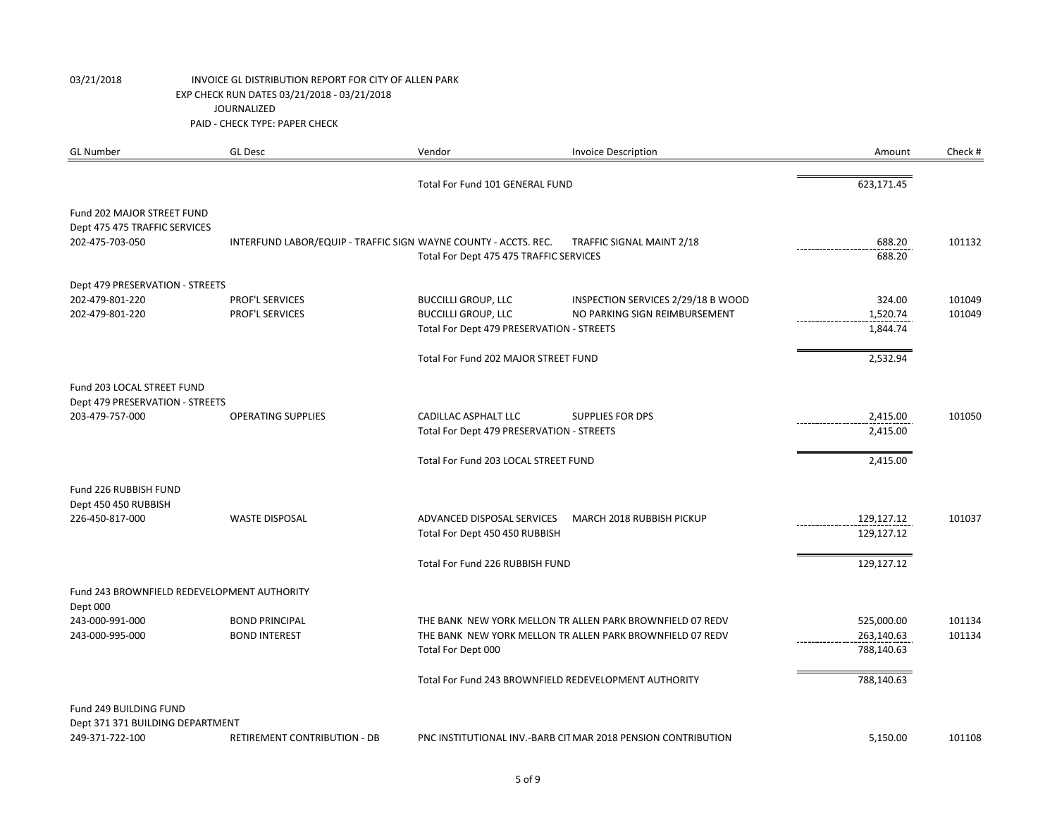| <b>GL Number</b>                                 | <b>GL Desc</b>                                                  | Vendor                                    | <b>Invoice Description</b>                                    | Amount                    | Check # |
|--------------------------------------------------|-----------------------------------------------------------------|-------------------------------------------|---------------------------------------------------------------|---------------------------|---------|
|                                                  |                                                                 | Total For Fund 101 GENERAL FUND           |                                                               | 623,171.45                |         |
| Fund 202 MAJOR STREET FUND                       |                                                                 |                                           |                                                               |                           |         |
| Dept 475 475 TRAFFIC SERVICES<br>202-475-703-050 | INTERFUND LABOR/EQUIP - TRAFFIC SIGN WAYNE COUNTY - ACCTS. REC. |                                           | TRAFFIC SIGNAL MAINT 2/18                                     | 688.20                    | 101132  |
|                                                  |                                                                 | Total For Dept 475 475 TRAFFIC SERVICES   |                                                               | ---------------<br>688.20 |         |
| Dept 479 PRESERVATION - STREETS                  |                                                                 |                                           |                                                               |                           |         |
| 202-479-801-220                                  | PROF'L SERVICES                                                 | <b>BUCCILLI GROUP, LLC</b>                | INSPECTION SERVICES 2/29/18 B WOOD                            | 324.00                    | 101049  |
| 202-479-801-220                                  | PROF'L SERVICES                                                 | <b>BUCCILLI GROUP, LLC</b>                | NO PARKING SIGN REIMBURSEMENT                                 | 1,520.74                  | 101049  |
|                                                  |                                                                 | Total For Dept 479 PRESERVATION - STREETS |                                                               | 1,844.74                  |         |
|                                                  |                                                                 | Total For Fund 202 MAJOR STREET FUND      |                                                               | 2,532.94                  |         |
| Fund 203 LOCAL STREET FUND                       |                                                                 |                                           |                                                               |                           |         |
| Dept 479 PRESERVATION - STREETS                  |                                                                 |                                           |                                                               |                           |         |
| 203-479-757-000                                  | <b>OPERATING SUPPLIES</b>                                       | <b>CADILLAC ASPHALT LLC</b>               | <b>SUPPLIES FOR DPS</b>                                       | 2,415.00                  | 101050  |
|                                                  |                                                                 | Total For Dept 479 PRESERVATION - STREETS |                                                               | 2,415.00                  |         |
|                                                  |                                                                 | Total For Fund 203 LOCAL STREET FUND      |                                                               | 2,415.00                  |         |
| Fund 226 RUBBISH FUND                            |                                                                 |                                           |                                                               |                           |         |
| Dept 450 450 RUBBISH<br>226-450-817-000          | <b>WASTE DISPOSAL</b>                                           | ADVANCED DISPOSAL SERVICES                | MARCH 2018 RUBBISH PICKUP                                     | 129,127.12                | 101037  |
|                                                  |                                                                 | Total For Dept 450 450 RUBBISH            |                                                               | 129,127.12                |         |
|                                                  |                                                                 | Total For Fund 226 RUBBISH FUND           |                                                               | 129,127.12                |         |
| Fund 243 BROWNFIELD REDEVELOPMENT AUTHORITY      |                                                                 |                                           |                                                               |                           |         |
| Dept 000                                         |                                                                 |                                           |                                                               |                           |         |
| 243-000-991-000                                  | <b>BOND PRINCIPAL</b>                                           |                                           | THE BANK NEW YORK MELLON TR ALLEN PARK BROWNFIELD 07 REDV     | 525,000.00                | 101134  |
| 243-000-995-000                                  | <b>BOND INTEREST</b>                                            |                                           | THE BANK NEW YORK MELLON TR ALLEN PARK BROWNFIELD 07 REDV     | 263,140.63                | 101134  |
|                                                  |                                                                 | Total For Dept 000                        |                                                               | 788,140.63                |         |
|                                                  |                                                                 |                                           | Total For Fund 243 BROWNFIELD REDEVELOPMENT AUTHORITY         | 788,140.63                |         |
| Fund 249 BUILDING FUND                           |                                                                 |                                           |                                                               |                           |         |
| Dept 371 371 BUILDING DEPARTMENT                 |                                                                 |                                           |                                                               |                           |         |
| 249-371-722-100                                  | <b>RETIREMENT CONTRIBUTION - DB</b>                             |                                           | PNC INSTITUTIONAL INV.-BARB CIT MAR 2018 PENSION CONTRIBUTION | 5.150.00                  | 101108  |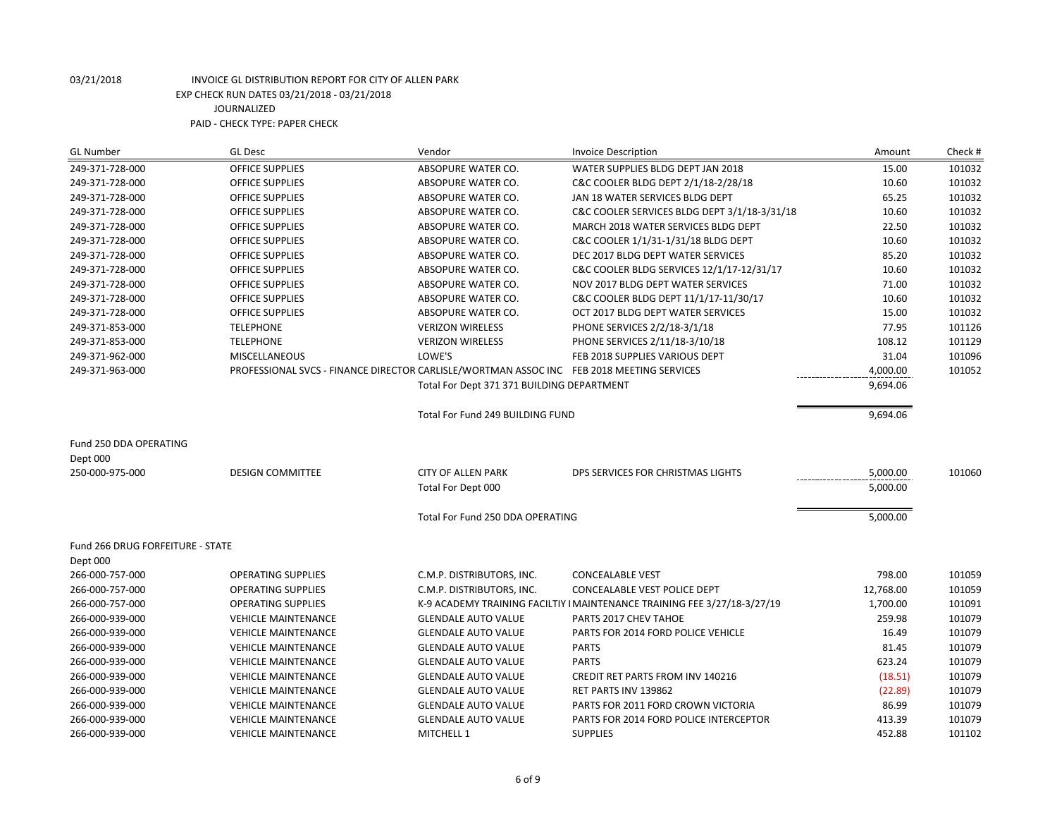| <b>GL Number</b>                                      | <b>GL Desc</b>                                                                            | Vendor                                     | <b>Invoice Description</b>                                               | Amount    | Check # |
|-------------------------------------------------------|-------------------------------------------------------------------------------------------|--------------------------------------------|--------------------------------------------------------------------------|-----------|---------|
| 249-371-728-000                                       | <b>OFFICE SUPPLIES</b>                                                                    | ABSOPURE WATER CO.                         | WATER SUPPLIES BLDG DEPT JAN 2018                                        | 15.00     | 101032  |
| 249-371-728-000                                       | <b>OFFICE SUPPLIES</b>                                                                    | ABSOPURE WATER CO.                         | C&C COOLER BLDG DEPT 2/1/18-2/28/18                                      | 10.60     | 101032  |
| 249-371-728-000                                       | <b>OFFICE SUPPLIES</b>                                                                    | ABSOPURE WATER CO.                         | JAN 18 WATER SERVICES BLDG DEPT                                          | 65.25     | 101032  |
| 249-371-728-000                                       | <b>OFFICE SUPPLIES</b>                                                                    | ABSOPURE WATER CO.                         | C&C COOLER SERVICES BLDG DEPT 3/1/18-3/31/18                             | 10.60     | 101032  |
| 249-371-728-000                                       | <b>OFFICE SUPPLIES</b>                                                                    | ABSOPURE WATER CO.                         | MARCH 2018 WATER SERVICES BLDG DEPT                                      | 22.50     | 101032  |
| 249-371-728-000                                       | <b>OFFICE SUPPLIES</b>                                                                    | ABSOPURE WATER CO.                         | C&C COOLER 1/1/31-1/31/18 BLDG DEPT                                      | 10.60     | 101032  |
| 249-371-728-000                                       | <b>OFFICE SUPPLIES</b>                                                                    | ABSOPURE WATER CO.                         | DEC 2017 BLDG DEPT WATER SERVICES                                        | 85.20     | 101032  |
| 249-371-728-000                                       | <b>OFFICE SUPPLIES</b>                                                                    | ABSOPURE WATER CO.                         | C&C COOLER BLDG SERVICES 12/1/17-12/31/17                                | 10.60     | 101032  |
| 249-371-728-000                                       | <b>OFFICE SUPPLIES</b>                                                                    | ABSOPURE WATER CO.                         | NOV 2017 BLDG DEPT WATER SERVICES                                        | 71.00     | 101032  |
| 249-371-728-000                                       | <b>OFFICE SUPPLIES</b>                                                                    | ABSOPURE WATER CO.                         | C&C COOLER BLDG DEPT 11/1/17-11/30/17                                    | 10.60     | 101032  |
| 249-371-728-000                                       | <b>OFFICE SUPPLIES</b>                                                                    | ABSOPURE WATER CO.                         | OCT 2017 BLDG DEPT WATER SERVICES                                        | 15.00     | 101032  |
| 249-371-853-000                                       | <b>TELEPHONE</b>                                                                          | <b>VERIZON WIRELESS</b>                    | PHONE SERVICES 2/2/18-3/1/18                                             | 77.95     | 101126  |
| 249-371-853-000                                       | <b>TELEPHONE</b>                                                                          | <b>VERIZON WIRELESS</b>                    | PHONE SERVICES 2/11/18-3/10/18                                           | 108.12    | 101129  |
| 249-371-962-000                                       | <b>MISCELLANEOUS</b>                                                                      | LOWE'S                                     | FEB 2018 SUPPLIES VARIOUS DEPT                                           | 31.04     | 101096  |
| 249-371-963-000                                       | PROFESSIONAL SVCS - FINANCE DIRECTOR CARLISLE/WORTMAN ASSOC INC FEB 2018 MEETING SERVICES |                                            |                                                                          | 4,000.00  | 101052  |
|                                                       |                                                                                           | Total For Dept 371 371 BUILDING DEPARTMENT |                                                                          | 9,694.06  |         |
|                                                       |                                                                                           | Total For Fund 249 BUILDING FUND           |                                                                          | 9,694.06  |         |
| Fund 250 DDA OPERATING<br>Dept 000<br>250-000-975-000 | <b>DESIGN COMMITTEE</b>                                                                   | <b>CITY OF ALLEN PARK</b>                  | DPS SERVICES FOR CHRISTMAS LIGHTS                                        | 5,000.00  | 101060  |
|                                                       |                                                                                           | Total For Dept 000                         |                                                                          | 5,000.00  |         |
|                                                       |                                                                                           | Total For Fund 250 DDA OPERATING           |                                                                          | 5,000.00  |         |
| Fund 266 DRUG FORFEITURE - STATE                      |                                                                                           |                                            |                                                                          |           |         |
| Dept 000                                              |                                                                                           |                                            |                                                                          |           |         |
| 266-000-757-000                                       | <b>OPERATING SUPPLIES</b>                                                                 | C.M.P. DISTRIBUTORS, INC.                  | <b>CONCEALABLE VEST</b>                                                  | 798.00    | 101059  |
| 266-000-757-000                                       | <b>OPERATING SUPPLIES</b>                                                                 | C.M.P. DISTRIBUTORS, INC.                  | <b>CONCEALABLE VEST POLICE DEPT</b>                                      | 12,768.00 | 101059  |
| 266-000-757-000                                       | <b>OPERATING SUPPLIES</b>                                                                 |                                            | K-9 ACADEMY TRAINING FACILTIY I MAINTENANCE TRAINING FEE 3/27/18-3/27/19 | 1,700.00  | 101091  |
| 266-000-939-000                                       | <b>VEHICLE MAINTENANCE</b>                                                                | <b>GLENDALE AUTO VALUE</b>                 | PARTS 2017 CHEV TAHOE                                                    | 259.98    | 101079  |
| 266-000-939-000                                       | <b>VEHICLE MAINTENANCE</b>                                                                | <b>GLENDALE AUTO VALUE</b>                 | PARTS FOR 2014 FORD POLICE VEHICLE                                       | 16.49     | 101079  |
| 266-000-939-000                                       | <b>VEHICLE MAINTENANCE</b>                                                                | <b>GLENDALE AUTO VALUE</b>                 | <b>PARTS</b>                                                             | 81.45     | 101079  |
| 266-000-939-000                                       | <b>VEHICLE MAINTENANCE</b>                                                                | <b>GLENDALE AUTO VALUE</b>                 | <b>PARTS</b>                                                             | 623.24    | 101079  |
| 266-000-939-000                                       | <b>VEHICLE MAINTENANCE</b>                                                                | <b>GLENDALE AUTO VALUE</b>                 | <b>CREDIT RET PARTS FROM INV 140216</b>                                  | (18.51)   | 101079  |
| 266-000-939-000                                       | <b>VEHICLE MAINTENANCE</b>                                                                | <b>GLENDALE AUTO VALUE</b>                 | RET PARTS INV 139862                                                     | (22.89)   | 101079  |
| 266-000-939-000                                       | <b>VEHICLE MAINTENANCE</b>                                                                | <b>GLENDALE AUTO VALUE</b>                 | PARTS FOR 2011 FORD CROWN VICTORIA                                       | 86.99     | 101079  |
| 266-000-939-000                                       | <b>VEHICLE MAINTENANCE</b>                                                                | <b>GLENDALE AUTO VALUE</b>                 | PARTS FOR 2014 FORD POLICE INTERCEPTOR                                   | 413.39    | 101079  |
| 266-000-939-000                                       | <b>VEHICLE MAINTENANCE</b>                                                                | MITCHELL 1                                 | <b>SUPPLIES</b>                                                          | 452.88    | 101102  |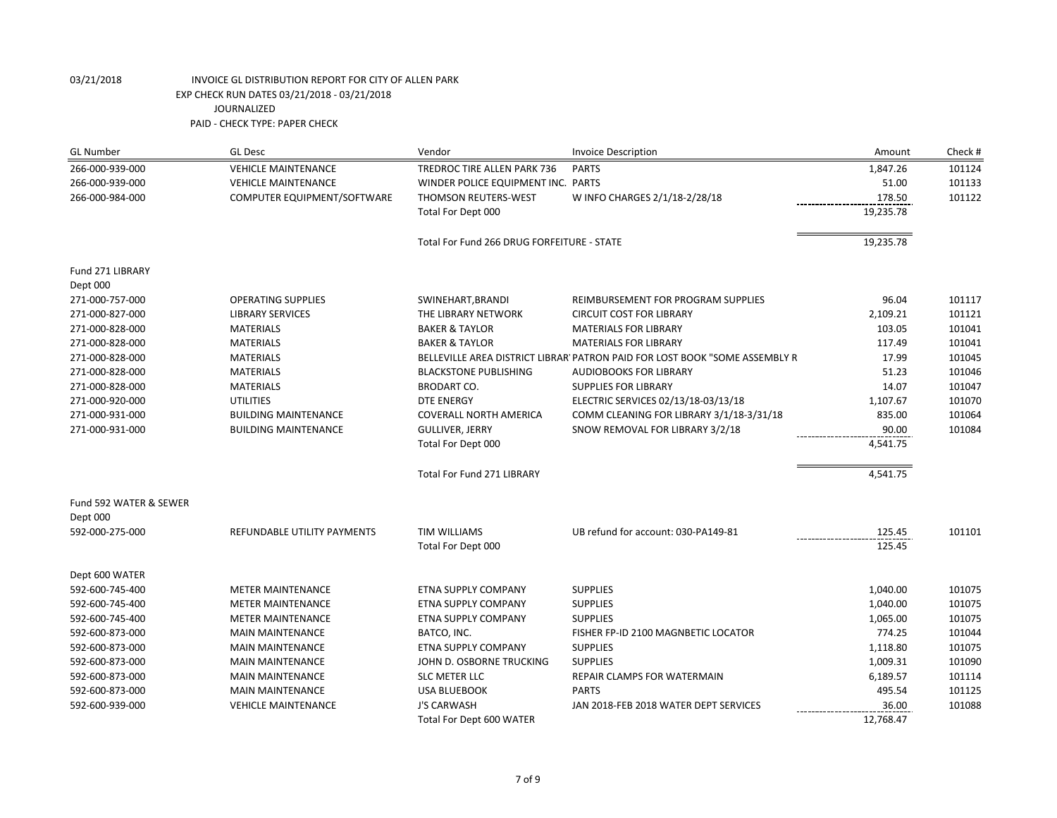| <b>GL Number</b>            | <b>GL Desc</b>              | Vendor                                     | <b>Invoice Description</b>                                                  | Amount    | Check # |
|-----------------------------|-----------------------------|--------------------------------------------|-----------------------------------------------------------------------------|-----------|---------|
| 266-000-939-000             | <b>VEHICLE MAINTENANCE</b>  | TREDROC TIRE ALLEN PARK 736                | <b>PARTS</b>                                                                | 1,847.26  | 101124  |
| 266-000-939-000             | <b>VEHICLE MAINTENANCE</b>  | WINDER POLICE EQUIPMENT INC. PARTS         |                                                                             | 51.00     | 101133  |
| 266-000-984-000             | COMPUTER EQUIPMENT/SOFTWARE | THOMSON REUTERS-WEST                       | W INFO CHARGES 2/1/18-2/28/18                                               | 178.50    | 101122  |
|                             |                             | Total For Dept 000                         |                                                                             | 19,235.78 |         |
|                             |                             | Total For Fund 266 DRUG FORFEITURE - STATE |                                                                             | 19,235.78 |         |
| Fund 271 LIBRARY            |                             |                                            |                                                                             |           |         |
| Dept 000<br>271-000-757-000 | <b>OPERATING SUPPLIES</b>   |                                            | REIMBURSEMENT FOR PROGRAM SUPPLIES                                          | 96.04     | 101117  |
| 271-000-827-000             | <b>LIBRARY SERVICES</b>     | SWINEHART, BRANDI<br>THE LIBRARY NETWORK   | <b>CIRCUIT COST FOR LIBRARY</b>                                             | 2,109.21  | 101121  |
| 271-000-828-000             | <b>MATERIALS</b>            | <b>BAKER &amp; TAYLOR</b>                  | <b>MATERIALS FOR LIBRARY</b>                                                | 103.05    | 101041  |
| 271-000-828-000             | <b>MATERIALS</b>            | <b>BAKER &amp; TAYLOR</b>                  | <b>MATERIALS FOR LIBRARY</b>                                                | 117.49    | 101041  |
| 271-000-828-000             | <b>MATERIALS</b>            |                                            | BELLEVILLE AREA DISTRICT LIBRAR' PATRON PAID FOR LOST BOOK "SOME ASSEMBLY R | 17.99     | 101045  |
| 271-000-828-000             | <b>MATERIALS</b>            | <b>BLACKSTONE PUBLISHING</b>               | <b>AUDIOBOOKS FOR LIBRARY</b>                                               | 51.23     | 101046  |
| 271-000-828-000             | <b>MATERIALS</b>            | <b>BRODART CO.</b>                         | <b>SUPPLIES FOR LIBRARY</b>                                                 | 14.07     | 101047  |
| 271-000-920-000             | <b>UTILITIES</b>            | <b>DTE ENERGY</b>                          | ELECTRIC SERVICES 02/13/18-03/13/18                                         | 1,107.67  | 101070  |
| 271-000-931-000             | <b>BUILDING MAINTENANCE</b> | <b>COVERALL NORTH AMERICA</b>              | COMM CLEANING FOR LIBRARY 3/1/18-3/31/18                                    | 835.00    | 101064  |
| 271-000-931-000             | <b>BUILDING MAINTENANCE</b> | <b>GULLIVER, JERRY</b>                     | SNOW REMOVAL FOR LIBRARY 3/2/18                                             | 90.00     | 101084  |
|                             |                             | Total For Dept 000                         |                                                                             |           |         |
|                             |                             |                                            |                                                                             | 4,541.75  |         |
|                             |                             | <b>Total For Fund 271 LIBRARY</b>          |                                                                             | 4,541.75  |         |
| Fund 592 WATER & SEWER      |                             |                                            |                                                                             |           |         |
| Dept 000                    |                             |                                            |                                                                             |           |         |
| 592-000-275-000             | REFUNDABLE UTILITY PAYMENTS | <b>TIM WILLIAMS</b>                        | UB refund for account: 030-PA149-81                                         | 125.45    | 101101  |
|                             |                             | Total For Dept 000                         |                                                                             | 125.45    |         |
| Dept 600 WATER              |                             |                                            |                                                                             |           |         |
| 592-600-745-400             | <b>METER MAINTENANCE</b>    | ETNA SUPPLY COMPANY                        | <b>SUPPLIES</b>                                                             | 1,040.00  | 101075  |
| 592-600-745-400             | <b>METER MAINTENANCE</b>    | ETNA SUPPLY COMPANY                        | <b>SUPPLIES</b>                                                             | 1,040.00  | 101075  |
| 592-600-745-400             | <b>METER MAINTENANCE</b>    | ETNA SUPPLY COMPANY                        | <b>SUPPLIES</b>                                                             | 1,065.00  | 101075  |
| 592-600-873-000             | <b>MAIN MAINTENANCE</b>     | BATCO, INC.                                | FISHER FP-ID 2100 MAGNBETIC LOCATOR                                         | 774.25    | 101044  |
| 592-600-873-000             | <b>MAIN MAINTENANCE</b>     | ETNA SUPPLY COMPANY                        | <b>SUPPLIES</b>                                                             | 1,118.80  | 101075  |
| 592-600-873-000             | <b>MAIN MAINTENANCE</b>     | JOHN D. OSBORNE TRUCKING                   | <b>SUPPLIES</b>                                                             | 1,009.31  | 101090  |
| 592-600-873-000             | <b>MAIN MAINTENANCE</b>     | SLC METER LLC                              | REPAIR CLAMPS FOR WATERMAIN                                                 | 6,189.57  | 101114  |
| 592-600-873-000             | <b>MAIN MAINTENANCE</b>     | <b>USA BLUEBOOK</b>                        | <b>PARTS</b>                                                                | 495.54    | 101125  |
| 592-600-939-000             | <b>VEHICLE MAINTENANCE</b>  | <b>J'S CARWASH</b>                         | JAN 2018-FEB 2018 WATER DEPT SERVICES                                       | 36.00     | 101088  |
|                             |                             | Total For Dept 600 WATER                   |                                                                             | 12,768.47 |         |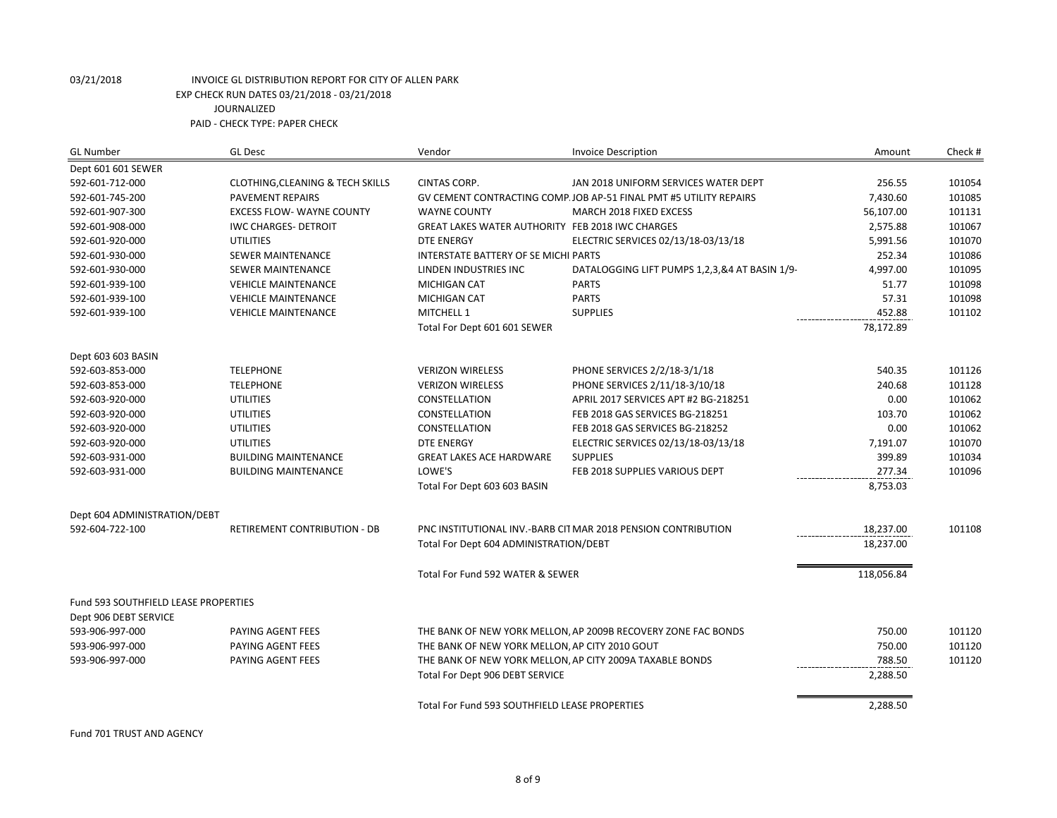| <b>GL Number</b>                            | <b>GL Desc</b>                              | Vendor                                                   | <b>Invoice Description</b>                                         | Amount     | Check # |
|---------------------------------------------|---------------------------------------------|----------------------------------------------------------|--------------------------------------------------------------------|------------|---------|
| Dept 601 601 SEWER                          |                                             |                                                          |                                                                    |            |         |
| 592-601-712-000                             | <b>CLOTHING, CLEANING &amp; TECH SKILLS</b> | <b>CINTAS CORP.</b>                                      | JAN 2018 UNIFORM SERVICES WATER DEPT                               | 256.55     | 101054  |
| 592-601-745-200                             | <b>PAVEMENT REPAIRS</b>                     |                                                          | GV CEMENT CONTRACTING COMP. JOB AP-51 FINAL PMT #5 UTILITY REPAIRS | 7,430.60   | 101085  |
| 592-601-907-300                             | <b>EXCESS FLOW- WAYNE COUNTY</b>            | <b>WAYNE COUNTY</b>                                      | MARCH 2018 FIXED EXCESS                                            | 56,107.00  | 101131  |
| 592-601-908-000                             | <b>IWC CHARGES- DETROIT</b>                 | GREAT LAKES WATER AUTHORITY FEB 2018 IWC CHARGES         |                                                                    | 2,575.88   | 101067  |
| 592-601-920-000                             | <b>UTILITIES</b>                            | <b>DTE ENERGY</b>                                        | ELECTRIC SERVICES 02/13/18-03/13/18                                | 5,991.56   | 101070  |
| 592-601-930-000                             | <b>SEWER MAINTENANCE</b>                    | INTERSTATE BATTERY OF SE MICHI PARTS                     |                                                                    | 252.34     | 101086  |
| 592-601-930-000                             | <b>SEWER MAINTENANCE</b>                    | LINDEN INDUSTRIES INC                                    | DATALOGGING LIFT PUMPS 1,2,3,&4 AT BASIN 1/9-                      | 4,997.00   | 101095  |
| 592-601-939-100                             | <b>VEHICLE MAINTENANCE</b>                  | <b>MICHIGAN CAT</b>                                      | <b>PARTS</b>                                                       | 51.77      | 101098  |
| 592-601-939-100                             | <b>VEHICLE MAINTENANCE</b>                  | <b>MICHIGAN CAT</b>                                      | <b>PARTS</b>                                                       | 57.31      | 101098  |
| 592-601-939-100                             | <b>VEHICLE MAINTENANCE</b>                  | MITCHELL 1                                               | <b>SUPPLIES</b>                                                    | 452.88     | 101102  |
|                                             |                                             | Total For Dept 601 601 SEWER                             |                                                                    | 78,172.89  |         |
| Dept 603 603 BASIN                          |                                             |                                                          |                                                                    |            |         |
| 592-603-853-000                             | <b>TELEPHONE</b>                            | <b>VERIZON WIRELESS</b>                                  | PHONE SERVICES 2/2/18-3/1/18                                       | 540.35     | 101126  |
| 592-603-853-000                             | <b>TELEPHONE</b>                            | <b>VERIZON WIRELESS</b>                                  | PHONE SERVICES 2/11/18-3/10/18                                     | 240.68     | 101128  |
| 592-603-920-000                             | <b>UTILITIES</b>                            | CONSTELLATION                                            | APRIL 2017 SERVICES APT #2 BG-218251                               | 0.00       | 101062  |
| 592-603-920-000                             | <b>UTILITIES</b>                            | CONSTELLATION                                            | FEB 2018 GAS SERVICES BG-218251                                    | 103.70     | 101062  |
| 592-603-920-000                             | <b>UTILITIES</b>                            | CONSTELLATION                                            | FEB 2018 GAS SERVICES BG-218252                                    | 0.00       | 101062  |
| 592-603-920-000                             | <b>UTILITIES</b>                            | <b>DTE ENERGY</b>                                        | ELECTRIC SERVICES 02/13/18-03/13/18                                | 7,191.07   | 101070  |
| 592-603-931-000                             | <b>BUILDING MAINTENANCE</b>                 | <b>GREAT LAKES ACE HARDWARE</b>                          | <b>SUPPLIES</b>                                                    | 399.89     | 101034  |
| 592-603-931-000                             | <b>BUILDING MAINTENANCE</b>                 | LOWE'S                                                   | FEB 2018 SUPPLIES VARIOUS DEPT                                     | 277.34     | 101096  |
|                                             |                                             | Total For Dept 603 603 BASIN                             |                                                                    | 8,753.03   |         |
| Dept 604 ADMINISTRATION/DEBT                |                                             |                                                          |                                                                    |            |         |
| 592-604-722-100                             | RETIREMENT CONTRIBUTION - DB                |                                                          | PNC INSTITUTIONAL INV.-BARB CITMAR 2018 PENSION CONTRIBUTION       | 18,237.00  | 101108  |
|                                             |                                             | Total For Dept 604 ADMINISTRATION/DEBT                   |                                                                    | 18,237.00  |         |
|                                             |                                             | Total For Fund 592 WATER & SEWER                         |                                                                    | 118,056.84 |         |
| <b>Fund 593 SOUTHFIELD LEASE PROPERTIES</b> |                                             |                                                          |                                                                    |            |         |
| Dept 906 DEBT SERVICE                       |                                             |                                                          |                                                                    |            |         |
| 593-906-997-000                             | PAYING AGENT FEES                           |                                                          | THE BANK OF NEW YORK MELLON, AP 2009B RECOVERY ZONE FAC BONDS      | 750.00     | 101120  |
| 593-906-997-000                             | PAYING AGENT FEES                           | THE BANK OF NEW YORK MELLON, AP CITY 2010 GOUT           |                                                                    | 750.00     | 101120  |
| 593-906-997-000                             | PAYING AGENT FEES                           | THE BANK OF NEW YORK MELLON, AP CITY 2009A TAXABLE BONDS |                                                                    | 788.50     | 101120  |
|                                             |                                             | Total For Dept 906 DEBT SERVICE                          |                                                                    | 2,288.50   |         |
|                                             |                                             | Total For Fund 593 SOUTHFIELD LEASE PROPERTIES           |                                                                    | 2,288.50   |         |

Fund 701 TRUST AND AGENCY